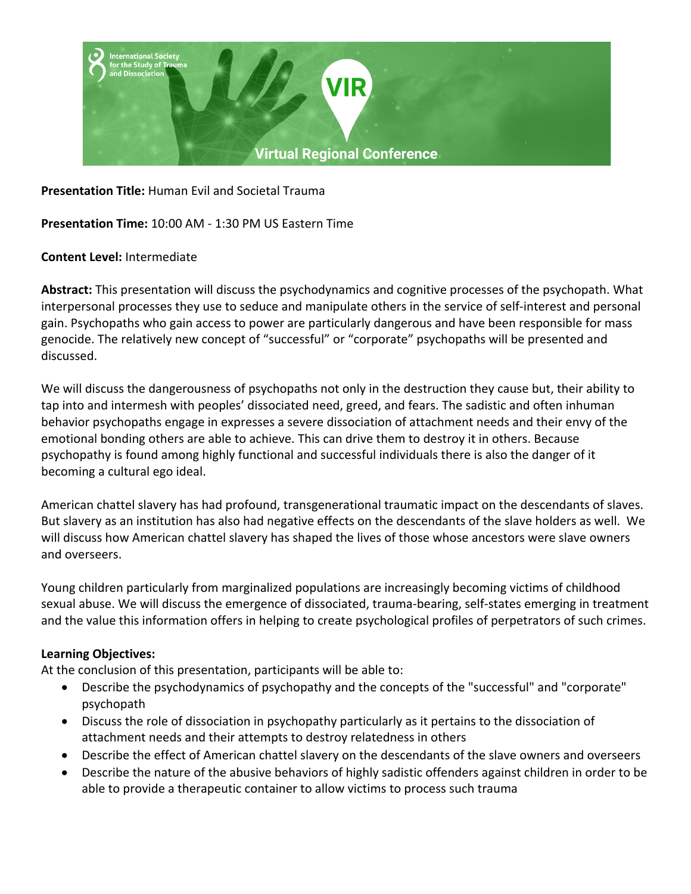

**Presentation Title:** Human Evil and Societal Trauma

**Presentation Time:** 10:00 AM - 1:30 PM US Eastern Time

#### **Content Level:** Intermediate

**Abstract:** This presentation will discuss the psychodynamics and cognitive processes of the psychopath. What interpersonal processes they use to seduce and manipulate others in the service of self-interest and personal gain. Psychopaths who gain access to power are particularly dangerous and have been responsible for mass genocide. The relatively new concept of "successful" or "corporate" psychopaths will be presented and discussed.

We will discuss the dangerousness of psychopaths not only in the destruction they cause but, their ability to tap into and intermesh with peoples' dissociated need, greed, and fears. The sadistic and often inhuman behavior psychopaths engage in expresses a severe dissociation of attachment needs and their envy of the emotional bonding others are able to achieve. This can drive them to destroy it in others. Because psychopathy is found among highly functional and successful individuals there is also the danger of it becoming a cultural ego ideal.

American chattel slavery has had profound, transgenerational traumatic impact on the descendants of slaves. But slavery as an institution has also had negative effects on the descendants of the slave holders as well. We will discuss how American chattel slavery has shaped the lives of those whose ancestors were slave owners and overseers.

Young children particularly from marginalized populations are increasingly becoming victims of childhood sexual abuse. We will discuss the emergence of dissociated, trauma-bearing, self-states emerging in treatment and the value this information offers in helping to create psychological profiles of perpetrators of such crimes.

## **Learning Objectives:**

At the conclusion of this presentation, participants will be able to:

- Describe the psychodynamics of psychopathy and the concepts of the "successful" and "corporate" psychopath
- Discuss the role of dissociation in psychopathy particularly as it pertains to the dissociation of attachment needs and their attempts to destroy relatedness in others
- Describe the effect of American chattel slavery on the descendants of the slave owners and overseers
- Describe the nature of the abusive behaviors of highly sadistic offenders against children in order to be able to provide a therapeutic container to allow victims to process such trauma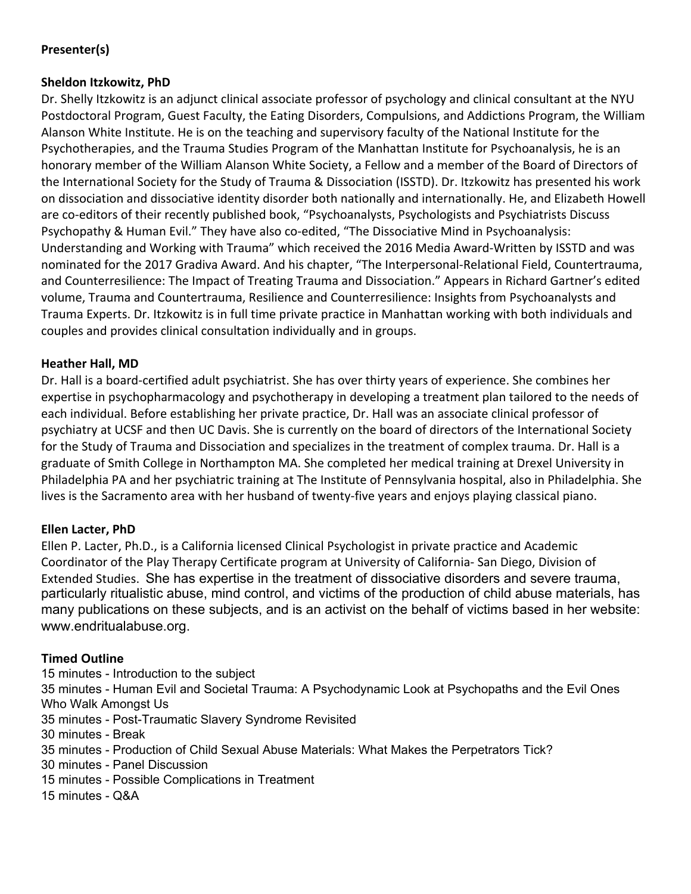# **Presenter(s)**

## **Sheldon Itzkowitz, PhD**

Dr. Shelly Itzkowitz is an adjunct clinical associate professor of psychology and clinical consultant at the NYU Postdoctoral Program, Guest Faculty, the Eating Disorders, Compulsions, and Addictions Program, the William Alanson White Institute. He is on the teaching and supervisory faculty of the National Institute for the Psychotherapies, and the Trauma Studies Program of the Manhattan Institute for Psychoanalysis, he is an honorary member of the William Alanson White Society, a Fellow and a member of the Board of Directors of the International Society for the Study of Trauma & Dissociation (ISSTD). Dr. Itzkowitz has presented his work on dissociation and dissociative identity disorder both nationally and internationally. He, and Elizabeth Howell are co-editors of their recently published book, "Psychoanalysts, Psychologists and Psychiatrists Discuss Psychopathy & Human Evil." They have also co-edited, "The Dissociative Mind in Psychoanalysis: Understanding and Working with Trauma" which received the 2016 Media Award-Written by ISSTD and was nominated for the 2017 Gradiva Award. And his chapter, "The Interpersonal-Relational Field, Countertrauma, and Counterresilience: The Impact of Treating Trauma and Dissociation." Appears in Richard Gartner's edited volume, Trauma and Countertrauma, Resilience and Counterresilience: Insights from Psychoanalysts and Trauma Experts. Dr. Itzkowitz is in full time private practice in Manhattan working with both individuals and couples and provides clinical consultation individually and in groups.

## **Heather Hall, MD**

Dr. Hall is a board-certified adult psychiatrist. She has over thirty years of experience. She combines her expertise in psychopharmacology and psychotherapy in developing a treatment plan tailored to the needs of each individual. Before establishing her private practice, Dr. Hall was an associate clinical professor of psychiatry at UCSF and then UC Davis. She is currently on the board of directors of the International Society for the Study of Trauma and Dissociation and specializes in the treatment of complex trauma. Dr. Hall is a graduate of Smith College in Northampton MA. She completed her medical training at Drexel University in Philadelphia PA and her psychiatric training at The Institute of Pennsylvania hospital, also in Philadelphia. She lives is the Sacramento area with her husband of twenty-five years and enjoys playing classical piano.

## **Ellen Lacter, PhD**

Ellen P. Lacter, Ph.D., is a California licensed Clinical Psychologist in private practice and Academic Coordinator of the Play Therapy Certificate program at University of California- San Diego, Division of Extended Studies. She has expertise in the treatment of dissociative disorders and severe trauma, particularly ritualistic abuse, mind control, and victims of the production of child abuse materials, has many publications on these subjects, and is an activist on the behalf of victims based in her website: www.endritualabuse.org.

## **Timed Outline**

15 minutes - Introduction to the subject

35 minutes - Human Evil and Societal Trauma: A Psychodynamic Look at Psychopaths and the Evil Ones Who Walk Amongst Us

- 35 minutes Post-Traumatic Slavery Syndrome Revisited
- 30 minutes Break
- 35 minutes Production of Child Sexual Abuse Materials: What Makes the Perpetrators Tick?
- 30 minutes Panel Discussion
- 15 minutes Possible Complications in Treatment
- 15 minutes Q&A